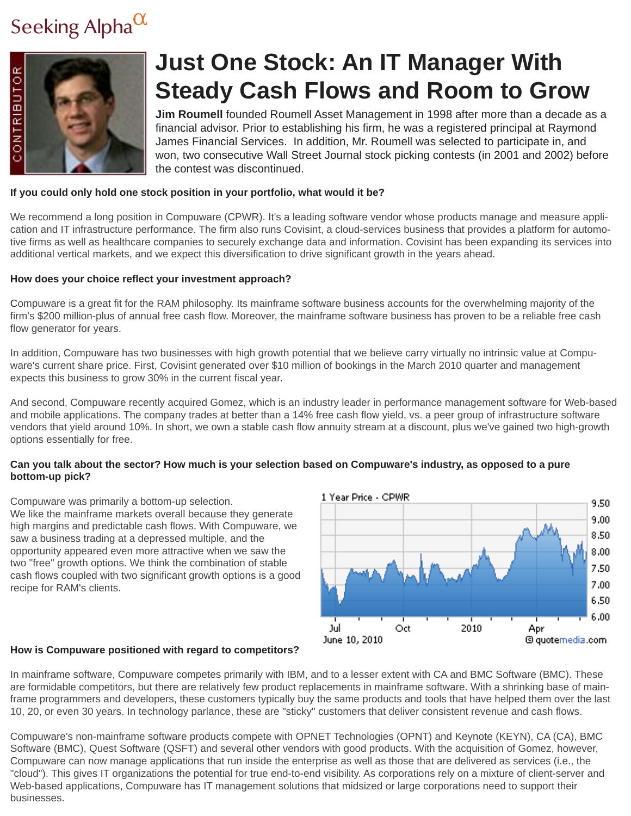## Seeking Alpha $^\alpha$



# **Just One Stock: An IT Manager With Steady Cash Flows and Room to Grow**

**Jim Roumell** founded Roumell Asset Management in 1998 after more than a decade as a financial advisor. Prior to establishing his firm, he was a registered principal at Raymond James Financial Services. In addition, Mr. Roumell was selected to participate in, and won, two consecutive Wall Street Journal stock picking contests (in 2001 and 2002) before the contest was discontinued.

## **If you could only hold one stock position in your portfolio, what would it be?**

We recommend a long position in Compuware (CPWR). It's a leading software vendor whose products manage and measure application and IT infrastructure performance. The firm also runs Covisint, a cloud-services business that provides a platform for automotive firms as well as healthcare companies to securely exchange data and information. Covisint has been expanding its services into additional vertical markets, and we expect this diversification to drive significant growth in the years ahead.

#### **How does your choice reflect your investment approach?**

Compuware is a great fit for the RAM philosophy. Its mainframe software business accounts for the overwhelming majority of the firm's \$200 million-plus of annual free cash flow. Moreover, the mainframe software business has proven to be a reliable free cash flow generator for years.

In addition, Compuware has two businesses with high growth potential that we believe carry virtually no intrinsic value at Compuware's current share price. First, Covisint generated over \$10 million of bookings in the March 2010 quarter and management expects this business to grow 30% in the current fiscal year.

And second, Compuware recently acquired Gomez, which is an industry leader in performance management software for Web-based and mobile applications. The company trades at better than a 14% free cash flow yield, vs. a peer group of infrastructure software vendors that yield around 10%. In short, we own a stable cash flow annuity stream at a discount, plus we've gained two high-growth options essentially for free.

## **Can you talk about the sector? How much is your selection based on Compuware's industry, as opposed to a pure bottom-up pick?**

Compuware was primarily a bottom-up selection.

We like the mainframe markets overall because they generate high margins and predictable cash flows. With Compuware, we saw a business trading at a depressed multiple, and the opportunity appeared even more attractive when we saw the two "free" growth options. We think the combination of stable cash flows coupled with two significant growth options is a good recipe for RAM's clients.





In mainframe software, Compuware competes primarily with IBM, and to a lesser extent with CA and BMC Software (BMC). These are formidable competitors, but there are relatively few product replacements in mainframe software. With a shrinking base of mainframe programmers and developers, these customers typically buy the same products and tools that have helped them over the last 10, 20, or even 30 years. In technology parlance, these are "sticky" customers that deliver consistent revenue and cash flows.

Compuware's non-mainframe software products compete with OPNET Technologies (OPNT) and Keynote (KEYN), CA (CA), BMC Software (BMC), Quest Software (QSFT) and several other vendors with good products. With the acquisition of Gomez, however, Compuware can now manage applications that run inside the enterprise as well as those that are delivered as services (i.e., the "cloud"). This gives IT organizations the potential for true end-to-end visibility. As corporations rely on a mixture of client-server and Web-based applications, Compuware has IT management solutions that midsized or large corporations need to support their businesses.